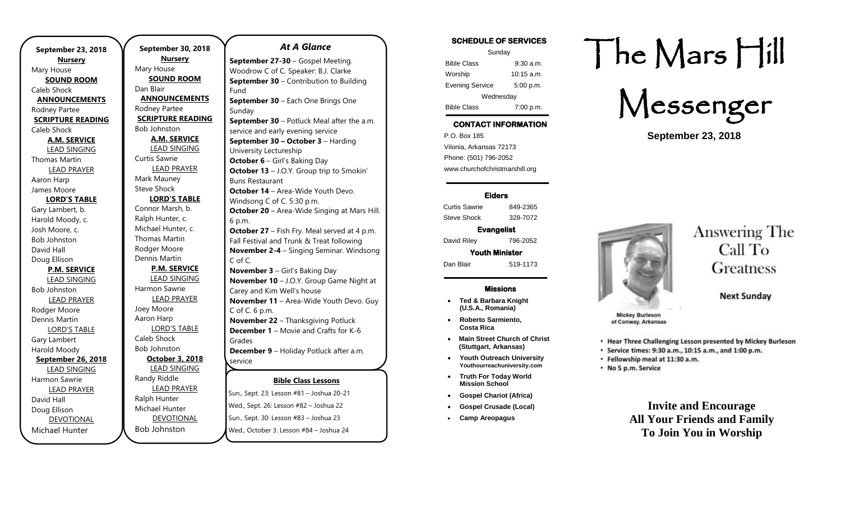**September 23, 2018 Nursery** Mary House **SOUND ROOM** Caleb Shock **ANNOUNCEMENTS** Rodney Partee **SCRIPTURE READING** Caleb Shock **A.M. SERVICE** LEAD SINGING Thomas Martin LEAD PRAYER Aaron Harp James Moore **LORD'S TABLE** Gary Lambert, b. Harold Moody, c. Josh Moore, c. Bob Johnston David Hall Doug Ellison **P.M. SERVICE** LEAD SINGING Bob Johnston LEAD PRAYER Rodger Moore Dennis Martin LORD'S TABLE Gary Lambert Harold Moody **September 26, 2018** LEAD SINGING Harmon Sawrie LEAD PRAYER David Hall Doug Ellison DEVOTIONAL Michael Hunter

**September 30, 2018 Nursery** Mary House **SOUND ROOM** Dan Blair **ANNOUNCEMENTS** Rodney Partee **SCRIPTURE READING** Bob Johnston **A.M. SERVICE** LEAD SINGING Curtis Sawrie LEAD PRAYER Mark Mauney Steve Shock **LORD'S TABLE** Connor Marsh, b. Ralph Hunter, c. Michael Hunter, c. Thomas Martin Rodger Moore Dennis Martin **P.M. SERVICE** LEAD SINGING Harmon Sawrie LEAD PRAYER Joey Moore Aaron Harp LORD'S TABLE Caleb Shock Bob Johnston **October 3, 2018** LEAD SINGING Randy Riddle LEAD PRAYER Ralph Hunter Michael Hunter DEVOTIONAL **September 27-30** – Gospel Meeting.

Bob Johnston

**Bible Class Lessons** Woodrow C of C. Speaker: B.J. Clarke Fund **September 30 – Each One Brings One** Sunday service and early evening service **September 30 – October 3** – Harding University Lectureship **October 6** – Girl's Baking Day Buns Restaurant **October 14** – Area-Wide Youth Devo. Windsong C of C. 5:30 p.m. 6 p.m. Fall Festival and Trunk & Treat following C of C. **November 3** – Girl's Baking Day Carey and Kim Well's house C of C. 6 p.m. **November 22** – Thanksgiving Potluck Grades **December 9** – Holiday Potluck after a.m. service **December 10** – Area-Wide Youth Devo.

**September 30 – Contribution to Building September 30** – Potluck Meal after the a.m. **October 13** – J.O.Y. Group trip to Smokin' **October 20** – Area-Wide Singing at Mars Hill. **October 27** – Fish Fry. Meal served at 4 p.m. **November 2-4** – Singing Seminar. Windsong **November 10** – J.O.Y. Group Game Night at **November 11** – Area-Wide Youth Devo. Guy

*At A Glance* 

**December 1** – Movie and Crafts for K-6

Sun., Sept. 23: Lesson #81 – Joshua 20-21 Wed., Sept. 26: Lesson #82 – Joshua 22 Sun., Sept. 30: Lesson #83 – Joshua 23 Wed., October 3: Lesson #84 – Joshua 24

### **SCHEDULE OF SERVICES**

| Sunday                 |              |
|------------------------|--------------|
| <b>Bible Class</b>     | 9.30 a.m.    |
| Worship                | $10:15$ a.m. |
| <b>Evening Service</b> | 5:00 p.m.    |
| Wednesday              |              |
| <b>Bible Class</b>     | 7:00 p.m.    |

## **CONTACT INFORMATION**

. .o. Box 166<br>Vilonia, Arkansas 72173 P.O. Box 185 Phone: (501) 796-2052 www.churchofchristmarshill.org

#### **Elders**

Curtis Sawrie 849-2365 Steve Shock 328-7072

**Evangelist**  David Riley 796-2052 **Youth Minister** 

Dan Blair 519-1173

#### **Missions**

- **Ted & Barbara Knight (U.S.A., Romania)**
- **Roberto Sarmiento, Costa Rica**
- **Main Street Church of Christ (Stuttgart, Arkansas)**
- **Youth Outreach University Youthourreachuniversity.com**
- **Truth For Today World Mission School**
- **Gospel Chariot (Africa)**
- **Gospel Crusade (Local)**
- **Camp Areopagus**

# The Mars Hill

Messenger

**September 23, 2018**



Answering The Call To Greatness

**Next Sunday** 

of Conway, Arkansas

- . Hear Three Challenging Lesson presented by Mickey Burleson
- Service times: 9:30 a.m., 10:15 a.m., and 1:00 p.m.
- · Fellowship meal at 11:30 a.m.
- No 5 p.m. Service

**Invite and Encourage All Your Friends and Family To Join You in Worship**